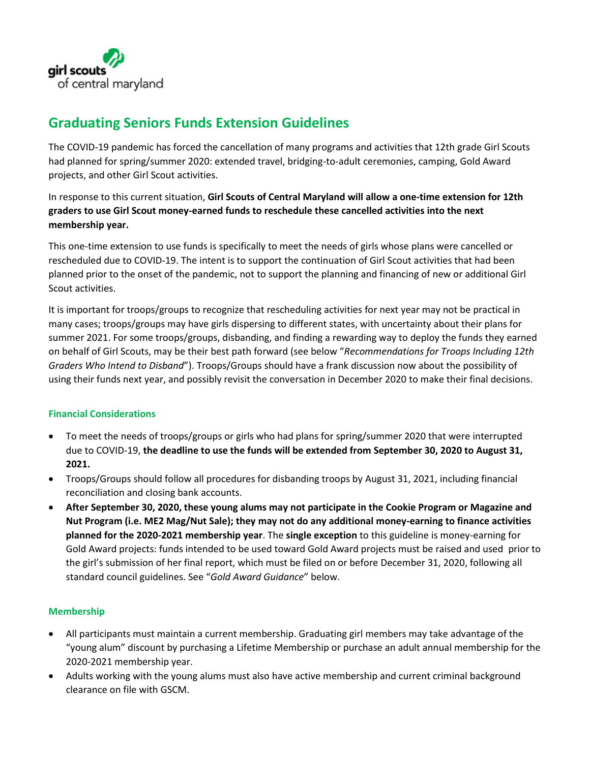

# **Graduating Seniors Funds Extension Guidelines**

The COVID-19 pandemic has forced the cancellation of many programs and activities that 12th grade Girl Scouts had planned for spring/summer 2020: extended travel, bridging-to-adult ceremonies, camping, Gold Award projects, and other Girl Scout activities.

In response to this current situation, **Girl Scouts of Central Maryland will allow a one-time extension for 12th graders to use Girl Scout money-earned funds to reschedule these cancelled activities into the next membership year.**

This one-time extension to use funds is specifically to meet the needs of girls whose plans were cancelled or rescheduled due to COVID-19. The intent is to support the continuation of Girl Scout activities that had been planned prior to the onset of the pandemic, not to support the planning and financing of new or additional Girl Scout activities.

It is important for troops/groups to recognize that rescheduling activities for next year may not be practical in many cases; troops/groups may have girls dispersing to different states, with uncertainty about their plans for summer 2021. For some troops/groups, disbanding, and finding a rewarding way to deploy the funds they earned on behalf of Girl Scouts, may be their best path forward (see below "*Recommendations for Troops Including 12th Graders Who Intend to Disband*"). Troops/Groups should have a frank discussion now about the possibility of using their funds next year, and possibly revisit the conversation in December 2020 to make their final decisions.

# **Financial Considerations**

- To meet the needs of troops/groups or girls who had plans for spring/summer 2020 that were interrupted due to COVID-19, **the deadline to use the funds will be extended from September 30, 2020 to August 31, 2021.**
- Troops/Groups should follow all procedures for disbanding troops by August 31, 2021, including financial reconciliation and closing bank accounts.
- **After September 30, 2020, these young alums may not participate in the Cookie Program or Magazine and Nut Program (i.e. ME2 Mag/Nut Sale); they may not do any additional money-earning to finance activities planned for the 2020-2021 membership year**. The **single exception** to this guideline is money-earning for Gold Award projects: funds intended to be used toward Gold Award projects must be raised and used prior to the girl's submission of her final report, which must be filed on or before December 31, 2020, following all standard council guidelines. See "*Gold Award Guidance*" below.

# **Membership**

- All participants must maintain a current membership. Graduating girl members may take advantage of the "young alum" discount by purchasing a Lifetime Membership or purchase an adult annual membership for the 2020-2021 membership year.
- Adults working with the young alums must also have active membership and current criminal background clearance on file with GSCM.